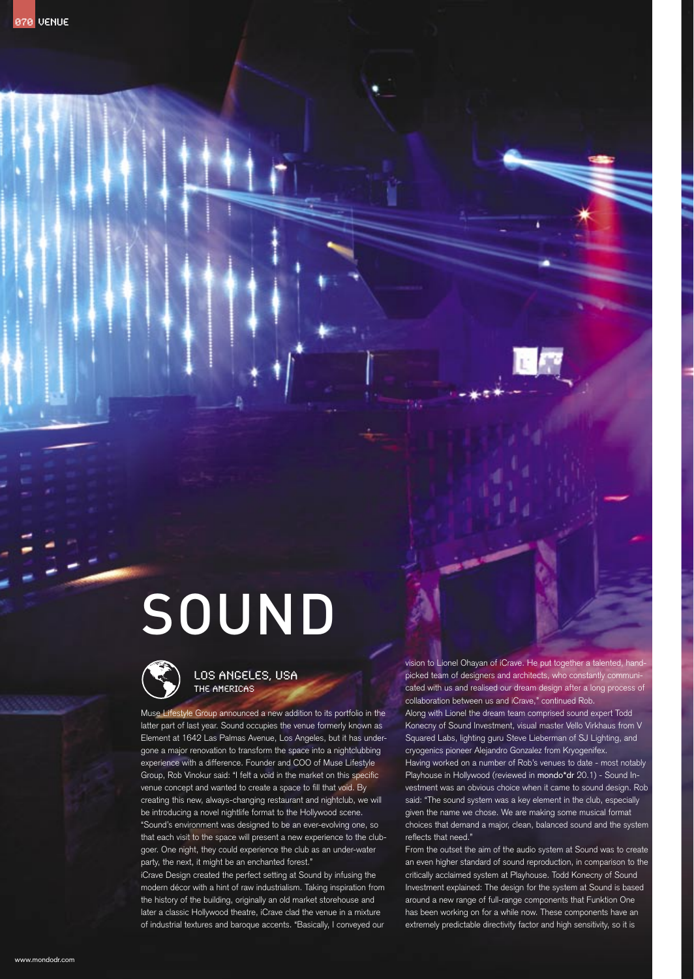# SOUND



# LOS ANGELES, USA The Americas

Muse Lifestyle Group announced a new addition to its portfolio in the latter part of last year. Sound occupies the venue formerly known as Element at 1642 Las Palmas Avenue, Los Angeles, but it has undergone a major renovation to transform the space into a nightclubbing experience with a difference. Founder and COO of Muse Lifestyle Group, Rob Vinokur said: "I felt a void in the market on this specific venue concept and wanted to create a space to fill that void. By creating this new, always-changing restaurant and nightclub, we will be introducing a novel nightlife format to the Hollywood scene. "Sound's environment was designed to be an ever-evolving one, so that each visit to the space will present a new experience to the clubgoer. One night, they could experience the club as an under-water party, the next, it might be an enchanted forest."

iCrave Design created the perfect setting at Sound by infusing the modern décor with a hint of raw industrialism. Taking inspiration from the history of the building, originally an old market storehouse and later a classic Hollywood theatre, iCrave clad the venue in a mixture of industrial textures and baroque accents. "Basically, I conveyed our vision to Lionel Ohayan of iCrave. He put together a talented, handpicked team of designers and architects, who constantly communicated with us and realised our dream design after a long process of collaboration between us and iCrave," continued Rob.

Along with Lionel the dream team comprised sound expert Todd Konecny of Sound Investment, visual master Vello Virkhaus from V Squared Labs, lighting guru Steve Lieberman of SJ Lighting, and cryogenics pioneer Alejandro Gonzalez from Kryogenifex. Having worked on a number of Rob's venues to date - most notably Playhouse in Hollywood (reviewed in mondo\*dr 20.1) - Sound Investment was an obvious choice when it came to sound design. Rob said: "The sound system was a key element in the club, especially given the name we chose. We are making some musical format choices that demand a major, clean, balanced sound and the system reflects that need."

From the outset the aim of the audio system at Sound was to create an even higher standard of sound reproduction, in comparison to the critically acclaimed system at Playhouse. Todd Konecny of Sound Investment explained: The design for the system at Sound is based around a new range of full-range components that Funktion One has been working on for a while now. These components have an extremely predictable directivity factor and high sensitivity, so it is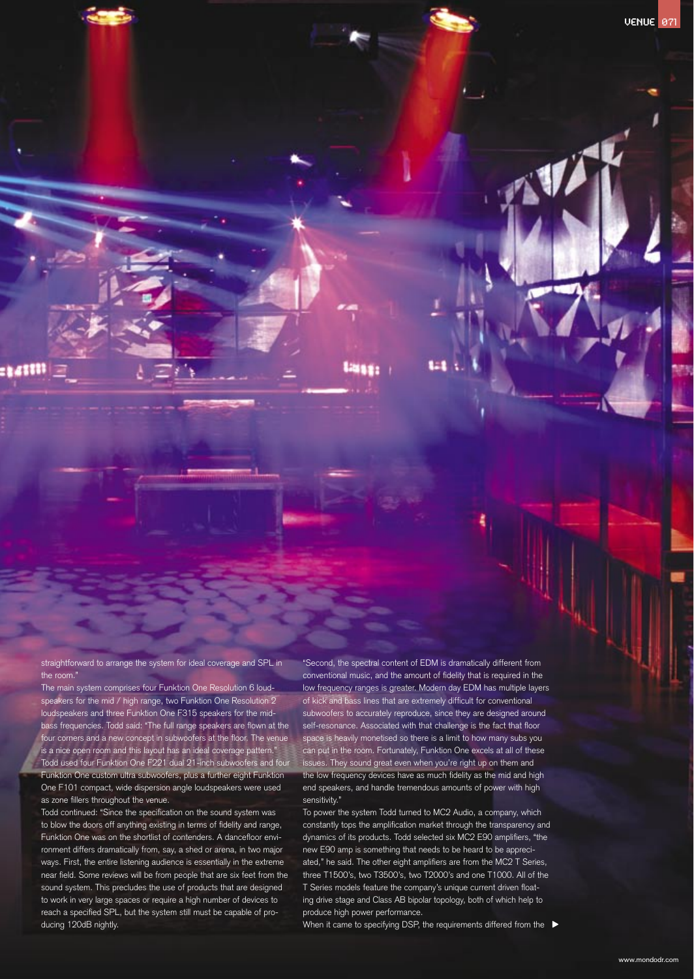straightforward to arrange the system for ideal coverage and SPL in the room."

:141111

The main system comprises four Funktion One Resolution 6 loudspeakers for the mid / high range, two Funktion One Resolution 2 loudspeakers and three Funktion One F315 speakers for the midbass frequencies. Todd said: "The full range speakers are flown at the four corners and a new concept in subwoofers at the floor. The venue is a nice open room and this layout has an ideal coverage pattern. Todd used four Funktion One F221 dual 21-inch subwoofers and four Funktion One custom ultra subwoofers, plus a further eight Funktion One F101 compact, wide dispersion angle loudspeakers were used as zone fillers throughout the venue.

Todd continued: "Since the specification on the sound system was to blow the doors off anything existing in terms of fidelity and range, Funktion One was on the shortlist of contenders. A dancefloor environment differs dramatically from, say, a shed or arena, in two major ways. First, the entire listening audience is essentially in the extreme near field. Some reviews will be from people that are six feet from the sound system. This precludes the use of products that are designed to work in very large spaces or require a high number of devices to reach a specified SPL, but the system still must be capable of producing 120dB nightly.

"Second, the spectral content of EDM is dramatically different from conventional music, and the amount of fidelity that is required in the low frequency ranges is greater. Modern day EDM has multiple layers of kick and bass lines that are extremely difficult for conventional subwoofers to accurately reproduce, since they are designed around self-resonance. Associated with that challenge is the fact that floor space is heavily monetised so there is a limit to how many subs you can put in the room. Fortunately, Funktion One excels at all of these ssues. They sound great even when you're right up on them and the low frequency devices have as much fidelity as the mid and high end speakers, and handle tremendous amounts of power with high sensitivity."

1921

To power the system Todd turned to MC2 Audio, a company, which constantly tops the amplification market through the transparency and dynamics of its products. Todd selected six MC2 E90 amplifiers, "the new E90 amp is something that needs to be heard to be appreciated," he said. The other eight amplifiers are from the MC2 T Series, three T1500's, two T3500's, two T2000's and one T1000. All of the T Series models feature the company's unique current driven floating drive stage and Class AB bipolar topology, both of which help to produce high power performance.

When it came to specifying DSP, the requirements differed from the  $\blacktriangleright$ 

VENUE 071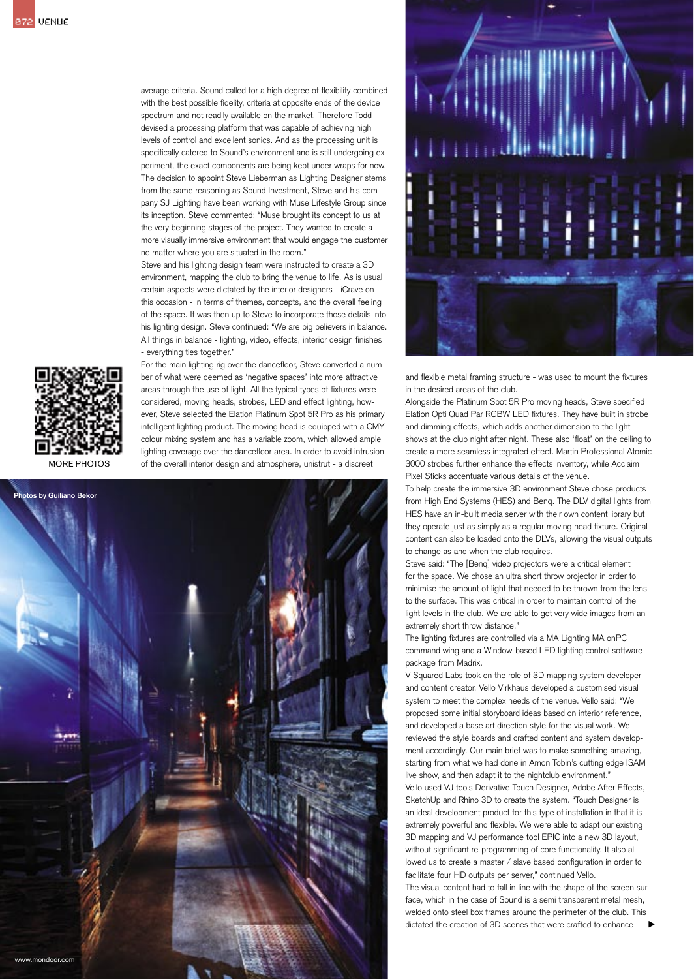average criteria. Sound called for a high degree of flexibility combined with the best possible fidelity, criteria at opposite ends of the device spectrum and not readily available on the market. Therefore Todd devised a processing platform that was capable of achieving high levels of control and excellent sonics. And as the processing unit is specifically catered to Sound's environment and is still undergoing experiment, the exact components are being kept under wraps for now. The decision to appoint Steve Lieberman as Lighting Designer stems from the same reasoning as Sound Investment, Steve and his company SJ Lighting have been working with Muse Lifestyle Group since its inception. Steve commented: "Muse brought its concept to us at the very beginning stages of the project. They wanted to create a more visually immersive environment that would engage the customer no matter where you are situated in the room."

Steve and his lighting design team were instructed to create a 3D environment, mapping the club to bring the venue to life. As is usual certain aspects were dictated by the interior designers - iCrave on this occasion - in terms of themes, concepts, and the overall feeling of the space. It was then up to Steve to incorporate those details into his lighting design. Steve continued: "We are big believers in balance. All things in balance - lighting, video, effects, interior design finishes - everything ties together."



MORE PHOTOS

For the main lighting rig over the dancefloor, Steve converted a number of what were deemed as 'negative spaces' into more attractive areas through the use of light. All the typical types of fixtures were considered, moving heads, strobes, LED and effect lighting, however, Steve selected the Elation Platinum Spot 5R Pro as his primary intelligent lighting product. The moving head is equipped with a CMY colour mixing system and has a variable zoom, which allowed ample lighting coverage over the dancefloor area. In order to avoid intrusion of the overall interior design and atmosphere, unistrut - a discreet





and flexible metal framing structure - was used to mount the fixtures in the desired areas of the club.

Alongside the Platinum Spot 5R Pro moving heads, Steve specified Elation Opti Quad Par RGBW LED fixtures. They have built in strobe and dimming effects, which adds another dimension to the light shows at the club night after night. These also 'float' on the ceiling to create a more seamless integrated effect. Martin Professional Atomic 3000 strobes further enhance the effects inventory, while Acclaim Pixel Sticks accentuate various details of the venue.

To help create the immersive 3D environment Steve chose products from High End Systems (HES) and Benq. The DLV digital lights from HES have an in-built media server with their own content library but they operate just as simply as a regular moving head fixture. Original content can also be loaded onto the DLVs, allowing the visual outputs to change as and when the club requires.

Steve said: "The [Benq] video projectors were a critical element for the space. We chose an ultra short throw projector in order to minimise the amount of light that needed to be thrown from the lens to the surface. This was critical in order to maintain control of the light levels in the club. We are able to get very wide images from an extremely short throw distance."

The lighting fixtures are controlled via a MA Lighting MA onPC command wing and a Window-based LED lighting control software package from Madrix.

V Squared Labs took on the role of 3D mapping system developer and content creator. Vello Virkhaus developed a customised visual system to meet the complex needs of the venue. Vello said: "We proposed some initial storyboard ideas based on interior reference, and developed a base art direction style for the visual work. We reviewed the style boards and crafted content and system development accordingly. Our main brief was to make something amazing, starting from what we had done in Amon Tobin's cutting edge ISAM live show, and then adapt it to the nightclub environment." Vello used VJ tools Derivative Touch Designer, Adobe After Effects, SketchUp and Rhino 3D to create the system. "Touch Designer is

an ideal development product for this type of installation in that it is extremely powerful and flexible. We were able to adapt our existing 3D mapping and VJ performance tool EPIC into a new 3D layout, without significant re-programming of core functionality. It also allowed us to create a master / slave based configuration in order to facilitate four HD outputs per server," continued Vello.

The visual content had to fall in line with the shape of the screen surface, which in the case of Sound is a semi transparent metal mesh, welded onto steel box frames around the perimeter of the club. This dictated the creation of 3D scenes that were crafted to enhance